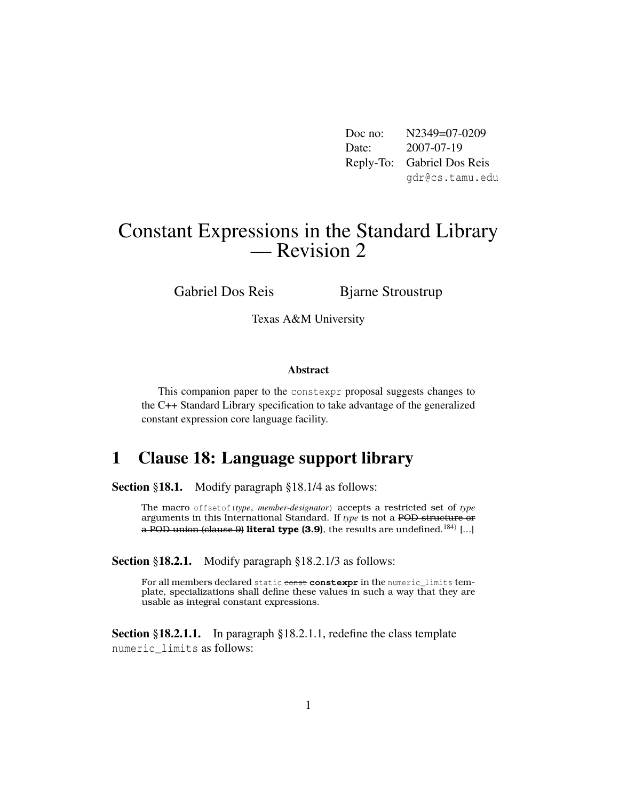Doc no: N2349=07-0209 Date: 2007-07-19 Reply-To: Gabriel Dos Reis gdr@cs.tamu.edu

# Constant Expressions in the Standard Library — Revision 2

Gabriel Dos Reis Bjarne Stroustrup

Texas A&M University

#### Abstract

This companion paper to the constexpr proposal suggests changes to the C++ Standard Library specification to take advantage of the generalized constant expression core language facility.

# 1 Clause 18: Language support library

Section §18.1. Modify paragraph §18.1/4 as follows:

The macro offsetof(*type*, *member-designator*) accepts a restricted set of *type* arguments in this International Standard. If *type* is not a POD structure or a POD union (clause 9) **literal type (3.9)**, the results are undefined.<sup>184)</sup> [...]

Section §18.2.1. Modify paragraph §18.2.1/3 as follows:

For all members declared static const constexpr in the numeric\_limits template, specializations shall define these values in such a way that they are usable as integral constant expressions.

Section §18.2.1.1. In paragraph §18.2.1.1, redefine the class template numeric\_limits as follows: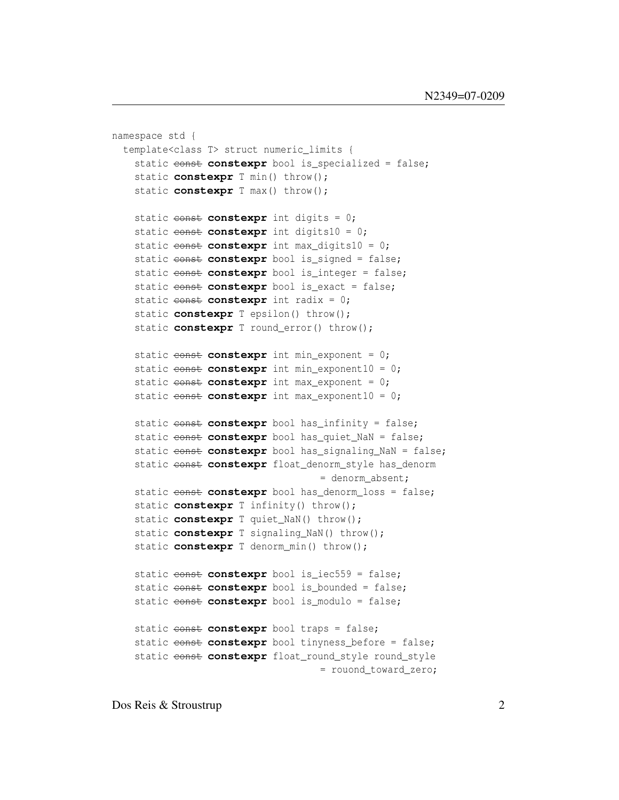```
namespace std {
 template<class T> struct numeric_limits {
   static const constexpr bool is_specialized = false;
   static constexpr T min() throw();
   static constexpr T max() throw();
   static const constexpr int digits = 0;
   static const constexpr int digits10 = 0;
   static const constexpr int max_digits10 = 0;
   static const constexpr bool is_signed = false;
   static const constexpr bool is_integer = false;
   static const constexpr bool is_exact = false;
   static const constexpr int radix = 0;
   static constexpr T epsilon() throw();
   static constexpr T round_error() throw();
   static const constexpr int min_exponent = 0;
   static const constexpr int min_exponent10 = 0;
   static const constexpr int max_exponent = 0;
   static const constexpr int max_exponent10 = 0;
   static const constexpr bool has infinity = false;
   static const constexpr bool has_quiet_NaN = false;
   static const constexpr bool has_signaling_NaN = false;
   static const constexpr float_denorm_style has_denorm
                                    = denorm_absent;
   static const constexpr bool has_denorm_loss = false;
   static constexpr T infinity() throw();
   static constexpr T quiet_NaN() throw();
   static constexpr T signaling_NaN() throw();
   static constexpr T denorm_min() throw();
   static const constexpr bool is_iec559 = false;
   static const constexpr bool is_bounded = false;
   static const constexpr bool is_modulo = false;
   static const constexpr bool traps = false;
   static const constexpr bool tinyness_before = false;
   static const constexpr float_round_style round_style
                                    = rouond_toward_zero;
```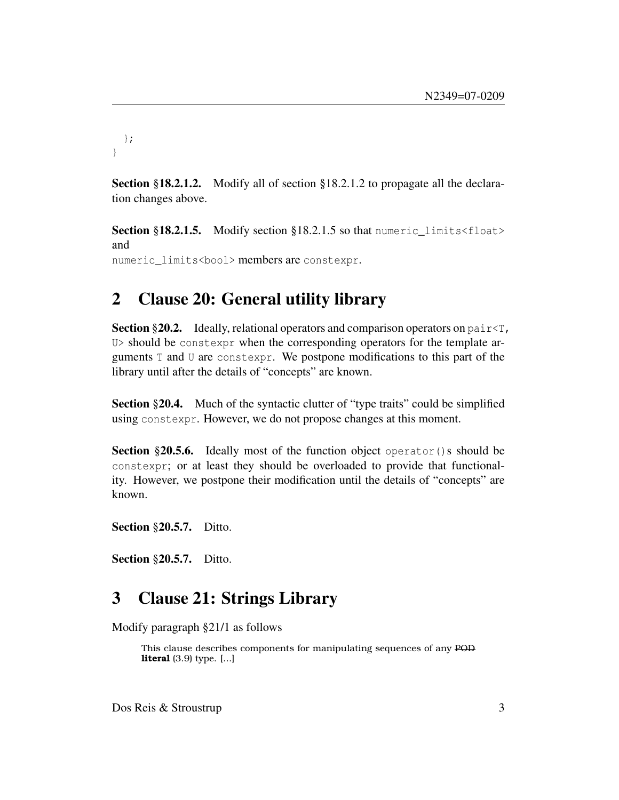```
};
}
```
Section §18.2.1.2. Modify all of section §18.2.1.2 to propagate all the declaration changes above.

Section §18.2.1.5. Modify section §18.2.1.5 so that numeric\_limits<float> and numeric\_limits<bool> members are constexpr.

## 2 Clause 20: General utility library

**Section** §20.2. Ideally, relational operators and comparison operators on  $pair \leq \tau$ , U> should be constexpr when the corresponding operators for the template arguments T and U are constexpr. We postpone modifications to this part of the library until after the details of "concepts" are known.

Section §20.4. Much of the syntactic clutter of "type traits" could be simplified using constexpr. However, we do not propose changes at this moment.

Section §20.5.6. Ideally most of the function object operator () s should be constexpr; or at least they should be overloaded to provide that functionality. However, we postpone their modification until the details of "concepts" are known.

**Section §20.5.7.** Ditto.

Section §20.5.7. Ditto.

#### 3 Clause 21: Strings Library

Modify paragraph §21/1 as follows

This clause describes components for manipulating sequences of any POD **literal** (3.9) type. [...]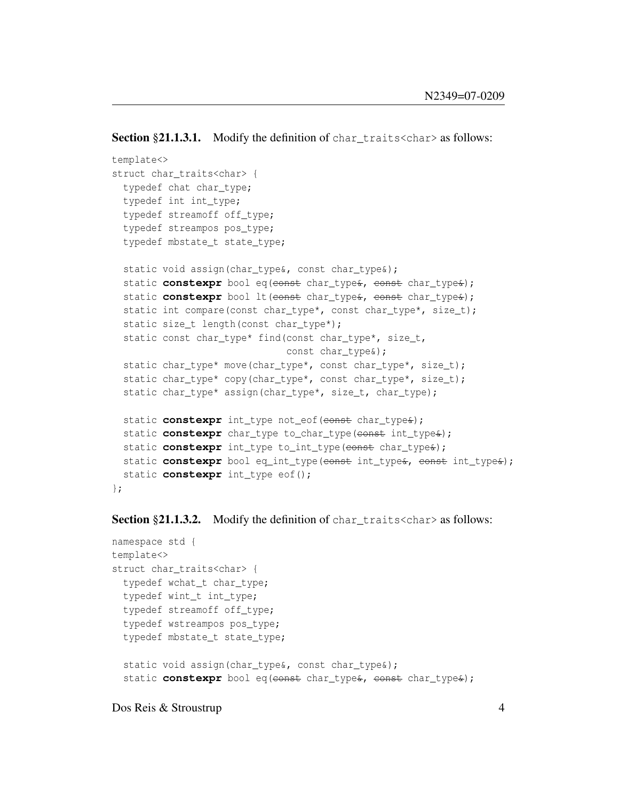```
Section §21.1.3.1. Modify the definition of chard traits \langle char\rangle as follows:
```

```
template<>
struct char traits<char> {
 typedef chat char_type;
 typedef int int_type;
 typedef streamoff off_type;
 typedef streampos pos_type;
 typedef mbstate_t state_type;
 static void assign(char_type&, const char_type&);
 static constexpr bool eq(const char_type&, const char_type&);
 static constexpr bool lt(const char_type&, const char_type&);
 static int compare(const char_type*, const char_type*, size_t);
 static size_t length(const char_type*);
 static const char_type* find(const char_type*, size_t,
                              const char type&);
 static char_type* move(char_type*, const char_type*, size_t);
 static char_type* copy(char_type*, const char_type*, size_t);
 static char_type* assign(char_type*, size_t, char_type);
 static constexpr int_type not_eof(const char_type&);
 static constexpr char_type to_char_type(const int_type&);
 static constexpr int_type to_int_type(const char_type&);
 static constexpr bool eq_int_type(eonst int_type&, const int_type&);
 static constexpr int_type eof();
};
```
**Section §21.1.3.2.** Modify the definition of charactraits  $\langle$ char> as follows:

```
namespace std {
template<>
struct char traits<char> {
 typedef wchat_t char_type;
 typedef wint_t int_type;
 typedef streamoff off_type;
 typedef wstreampos pos_type;
 typedef mbstate_t state_type;
 static void assign(char_type&, const char_type&);
 static constexpr bool eq(const char_type&, const char_type&);
```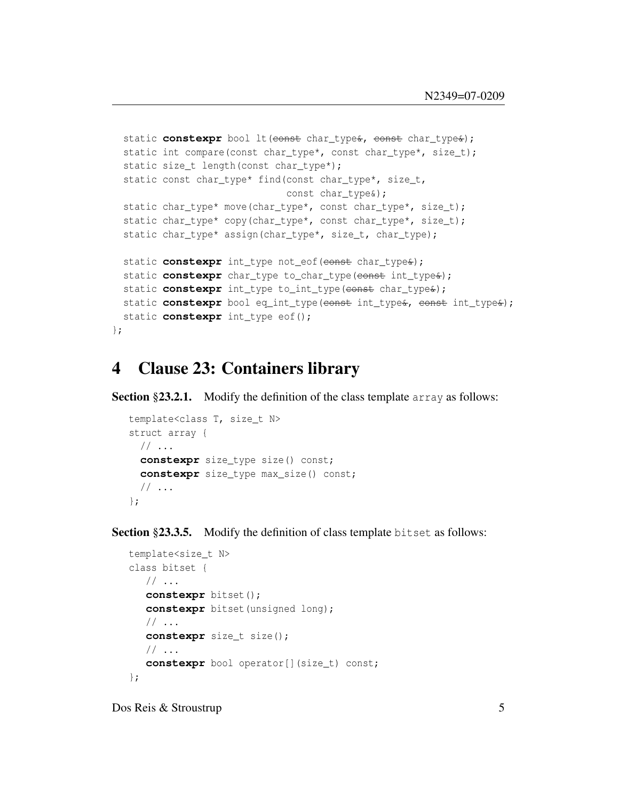```
static constexpr bool lt (const char_type&, const char_type&);
 static int compare(const char_type*, const char_type*, size_t);
 static size_t length(const char_type*);
 static const char_type* find(const char_type*, size_t,
                              const char_type&);
 static char_type* move(char_type*, const char_type*, size_t);
 static char_type* copy(char_type*, const char_type*, size_t);
 static char_type* assign(char_type*, size_t, char type);
 static constexpr int_type not_eof(const char_type&);
 static constexpr char_type to_char_type(const int_type&);
 static constexpr int_type to_int_type(const char_type&);
 static constexpr bool eq_int_type(const int_type&, const int_type&);
 static constexpr int_type eof();
};
```
### 4 Clause 23: Containers library

Section §23.2.1. Modify the definition of the class template array as follows:

```
template<class T, size_t N>
struct array {
 // \ldotsconstexpr size_type size() const;
 constexpr size_type max_size() const;
 // ...
};
```
Section §23.3.5. Modify the definition of class template bitset as follows:

```
template<size_t N>
class bitset {
  1/ ...
  constexpr bitset();
   constexpr bitset(unsigned long);
  // ...
  constexpr size_t size();
  // \ldotsconstexpr bool operator[](size t) const;
};
```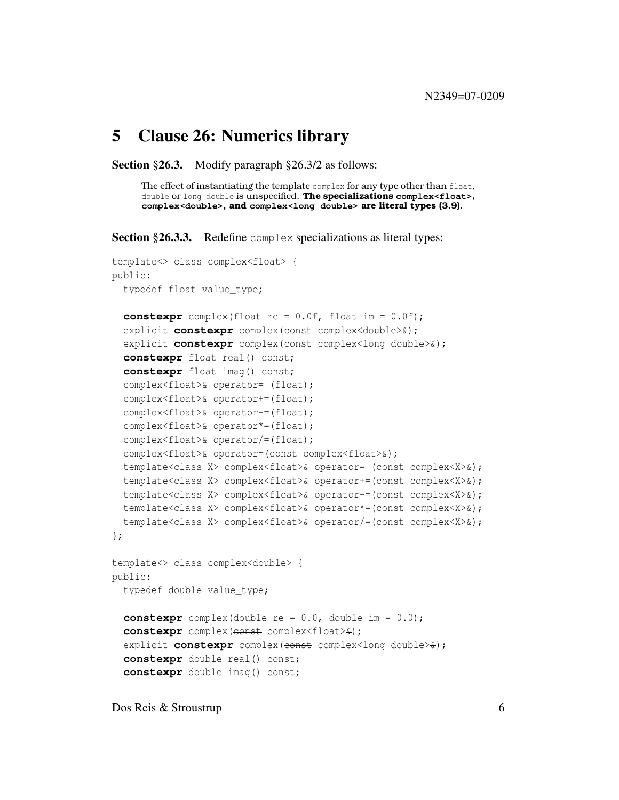#### 5 Clause 26: Numerics library

Section §26.3. Modify paragraph §26.3/2 as follows:

The effect of instantiating the template complex for any type other than float, double or long double is unspecified. **The specializations complex<float>, complex<double>, and complex<long double> are literal types (3.9).**

Section §26.3.3. Redefine complex specializations as literal types:

```
template<> class complex<float> {
public:
 typedef float value_type;
  constexpr complex(float re = 0.0f, float im = 0.0f);
  explicit constexpr complex (const complex<double>\&);
  explicit constexpr complex (const complex<long double> \star);
  constexpr float real() const;
  constexpr float imag() const;
  complex<float>& operator= (float);
  complex<float>& operator+=(float);
  complex<float>& operator-=(float);
  complex<float>& operator*=(float);
  complex<float>& operator/=(float);
  complex<float>& operator=(const complex<float>&);
  template<class X> complex<float>& operator= (const complex<X>&);
  template<class X> complex<float>& operator+=(const complex<X>&);
  template<class X> complex<float>& operator-=(const complex<X>&);
  template<class X> complex<float>& operator*=(const complex<X>&);
  template<class X> complex<float>& operator/=(const complex<X>&);
};
template<> class complex<double> {
public:
  typedef double value_type;
  constexpr complex(double re = 0.0, double im = 0.0);
  constexpr complex (const complex<float>\&);
  explicit constexpr complex (const complex<long double>\angle);
  constexpr double real() const;
  constexpr double imag() const;
```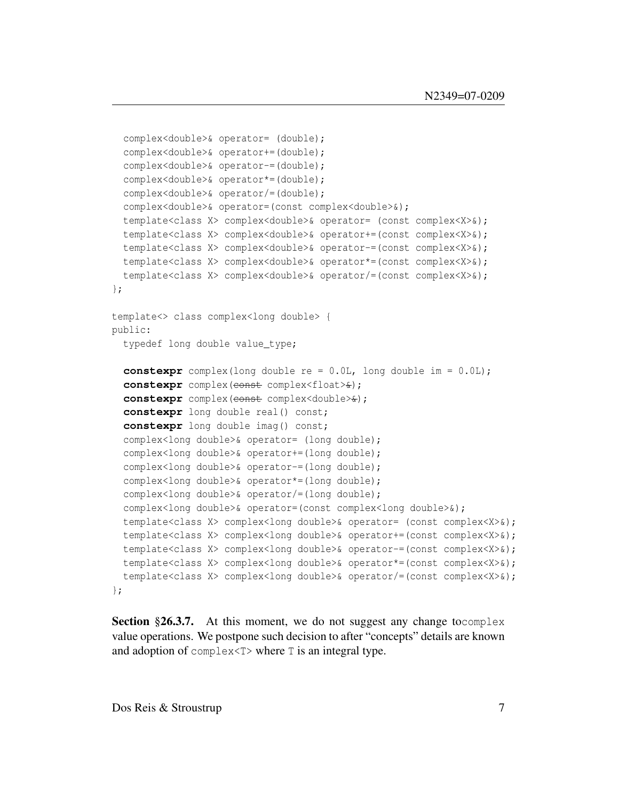```
complex<double>& operator= (double);
  complex<double>& operator+=(double);
  complex<double>& operator-=(double);
 complex<double>& operator*=(double);
 complex<double>& operator/=(double);
 complex<double>& operator=(const complex<double>&);
 template<class X> complex<double>& operator= (const complex<X>&);
 template<class X> complex<double>& operator+=(const complex<X>&);
  template<class X> complex<double>& operator-=(const complex<X>&);
 template<class X> complex<double>& operator*=(const complex<X>&);
 template<class X> complex<double>& operator/=(const complex<X>&);
};
template<> class complex<long double> {
public:
  typedef long double value_type;
 constexpr complex(long double re = 0.0L, long double im = 0.0L);
  constexpr complex(const complex<float> \epsilon);
 constexpr complex (const complex<double>\&);
 constexpr long double real() const;
  constexpr long double imag() const;
  complex<long double>& operator= (long double);
  complex<long double>& operator+=(long double);
 complex<long double>& operator-=(long double);
 complex<long double>& operator*=(long double);
 complex<long double>& operator/=(long double);
 complex<long double>& operator=(const complex<long double>&);
 template<class X> complex<long double>& operator= (const complex<X>&);
 template<class X> complex<long double>& operator+=(const complex<X>&);
 template<class X> complex<long double>& operator-=(const complex<X>&);
 template<class X> complex<long double>& operator*=(const complex<X>&);
  template<class X> complex<long double>& operator/=(const complex<X>&);
};
```
Section §26.3.7. At this moment, we do not suggest any change to complex value operations. We postpone such decision to after "concepts" details are known and adoption of complex<T> where T is an integral type.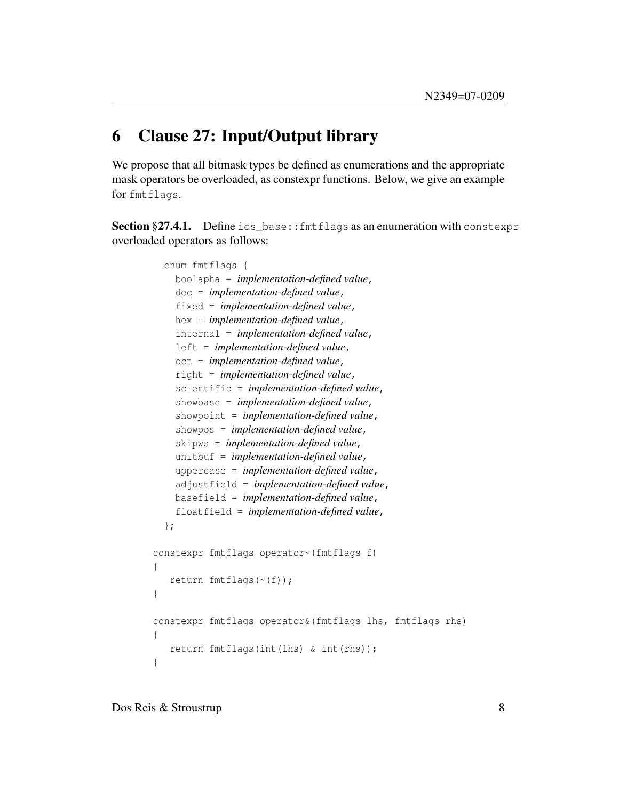## 6 Clause 27: Input/Output library

We propose that all bitmask types be defined as enumerations and the appropriate mask operators be overloaded, as constexpr functions. Below, we give an example for fmtflags.

Section §27.4.1. Define ios\_base:: fmt flags as an enumeration with constexpr overloaded operators as follows:

```
enum fmtflags {
    boolapha = implementation-defined value,
    dec = implementation-defined value,
    fixed = implementation-defined value,
    hex = implementation-defined value,
    internal = implementation-defined value,
    left = implementation-defined value,
    oct = implementation-defined value,
    right = implementation-defined value,
    scientific = implementation-defined value,
    showbase = implementation-defined value,
    showpoint = implementation-defined value,
    showpos = implementation-defined value,
    skipws = implementation-defined value,
    unitbuf = implementation-defined value,
    uppercase = implementation-defined value,
    adjustfield = implementation-defined value,
    basefield = implementation-defined value,
    floatfield = implementation-defined value,
  };
constexpr fmtflags operator~(fmtflags f)
{
   return fmtflags(~(f));
}
constexpr fmtflags operator&(fmtflags lhs, fmtflags rhs)
{
   return fmtflags(int(lhs) & int(rhs));
}
```